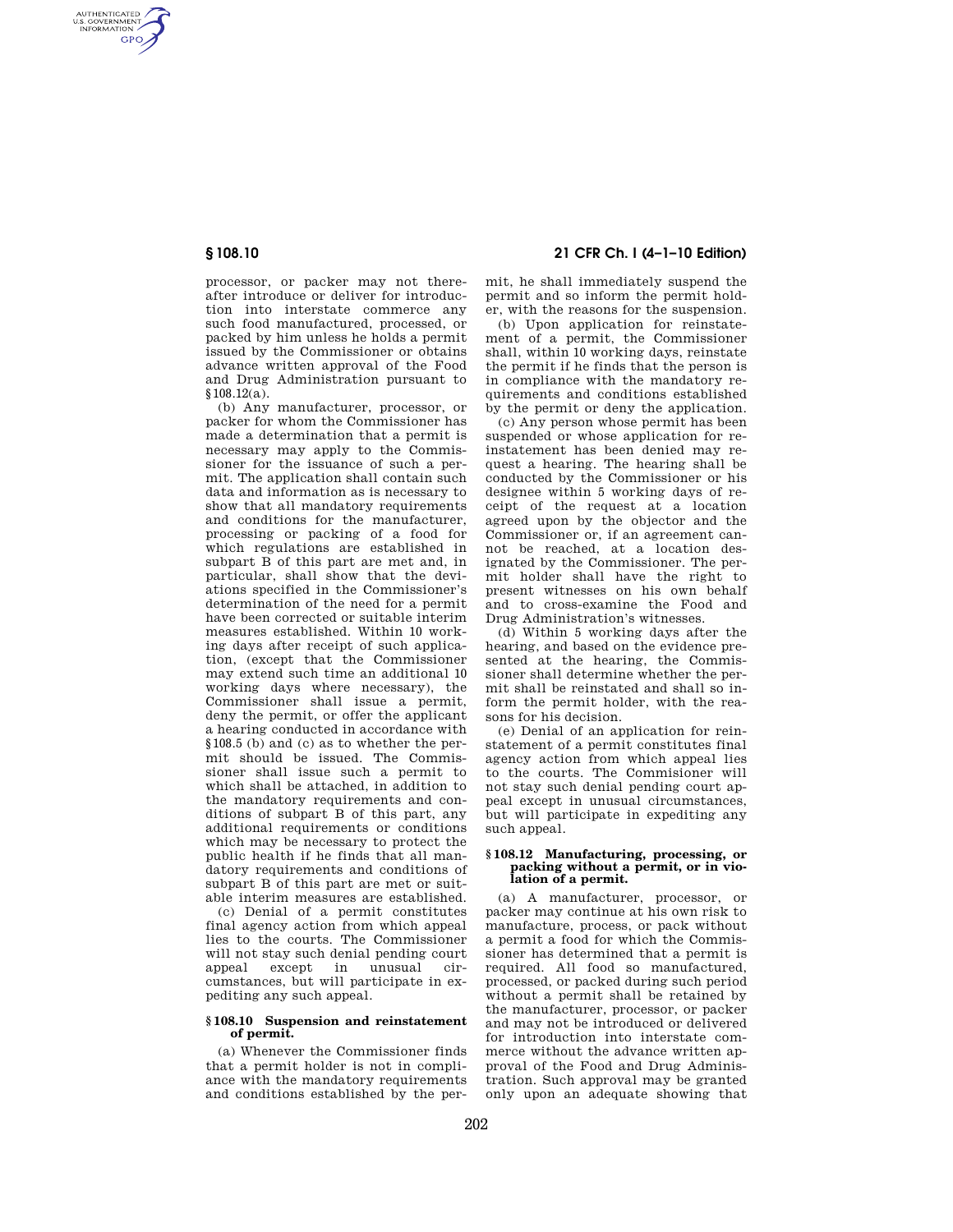AUTHENTICATED<br>U.S. GOVERNMENT<br>INFORMATION **GPO** 

> processor, or packer may not thereafter introduce or deliver for introduction into interstate commerce any such food manufactured, processed, or packed by him unless he holds a permit issued by the Commissioner or obtains advance written approval of the Food and Drug Administration pursuant to §108.12(a).

> (b) Any manufacturer, processor, or packer for whom the Commissioner has made a determination that a permit is necessary may apply to the Commissioner for the issuance of such a permit. The application shall contain such data and information as is necessary to show that all mandatory requirements and conditions for the manufacturer, processing or packing of a food for which regulations are established in subpart B of this part are met and, in particular, shall show that the deviations specified in the Commissioner's determination of the need for a permit have been corrected or suitable interim measures established. Within 10 working days after receipt of such application, (except that the Commissioner may extend such time an additional 10 working days where necessary), the Commissioner shall issue a permit, deny the permit, or offer the applicant a hearing conducted in accordance with §108.5 (b) and (c) as to whether the permit should be issued. The Commissioner shall issue such a permit to which shall be attached, in addition to the mandatory requirements and conditions of subpart B of this part, any additional requirements or conditions which may be necessary to protect the public health if he finds that all mandatory requirements and conditions of subpart B of this part are met or suitable interim measures are established.

(c) Denial of a permit constitutes final agency action from which appeal lies to the courts. The Commissioner will not stay such denial pending court appeal except in unusual circumstances, but will participate in expediting any such appeal.

## **§ 108.10 Suspension and reinstatement of permit.**

(a) Whenever the Commissioner finds that a permit holder is not in compliance with the mandatory requirements and conditions established by the per-

# **§ 108.10 21 CFR Ch. I (4–1–10 Edition)**

mit, he shall immediately suspend the permit and so inform the permit holder, with the reasons for the suspension.

(b) Upon application for reinstatement of a permit, the Commissioner shall, within 10 working days, reinstate the permit if he finds that the person is in compliance with the mandatory requirements and conditions established by the permit or deny the application.

(c) Any person whose permit has been suspended or whose application for reinstatement has been denied may request a hearing. The hearing shall be conducted by the Commissioner or his designee within 5 working days of receipt of the request at a location agreed upon by the objector and the Commissioner or, if an agreement cannot be reached, at a location designated by the Commissioner. The permit holder shall have the right to present witnesses on his own behalf and to cross-examine the Food and Drug Administration's witnesses.

(d) Within 5 working days after the hearing, and based on the evidence presented at the hearing, the Commissioner shall determine whether the permit shall be reinstated and shall so inform the permit holder, with the reasons for his decision.

(e) Denial of an application for reinstatement of a permit constitutes final agency action from which appeal lies to the courts. The Commisioner will not stay such denial pending court appeal except in unusual circumstances, but will participate in expediting any such appeal.

#### **§ 108.12 Manufacturing, processing, or packing without a permit, or in violation of a permit.**

(a) A manufacturer, processor, or packer may continue at his own risk to manufacture, process, or pack without a permit a food for which the Commissioner has determined that a permit is required. All food so manufactured, processed, or packed during such period without a permit shall be retained by the manufacturer, processor, or packer and may not be introduced or delivered for introduction into interstate commerce without the advance written approval of the Food and Drug Administration. Such approval may be granted only upon an adequate showing that